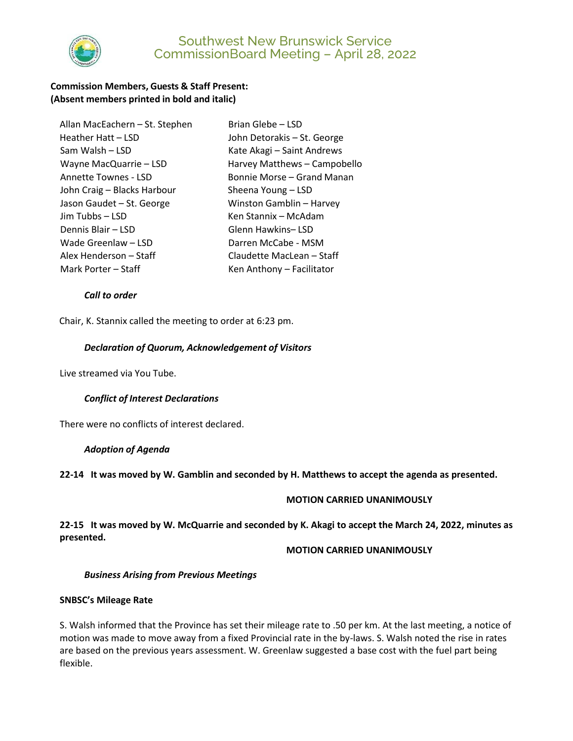

# Southwest New Brunswick Service CommissionBoard Meeting – April 28, 2022

## **Commission Members, Guests & Staff Present: (Absent members printed in bold and italic)**

| Allan MacEachern - St. Stephen |
|--------------------------------|
| Heather Hatt - LSD             |
| Sam Walsh – LSD                |
| Wayne MacQuarrie - LSD         |
| <b>Annette Townes - LSD</b>    |
| John Craig - Blacks Harbour    |
| Jason Gaudet - St. George      |
| Jim Tubbs - LSD                |
| Dennis Blair - LSD             |
| Wade Greenlaw - LSD            |
| Alex Henderson – Staff         |
| Mark Porter – Staff            |

Brian Glebe – LSD. John Detorakis – St. George Kate Akagi – Saint Andrews Harvey Matthews – Campobello Bonnie Morse – Grand Manan Sheena Young – LSD Winston Gamblin – Harvey Ken Stannix – McAdam Glenn Hawkins– LSD Darren McCabe - MSM Claudette MacLean – Staff Ken Anthony – Facilitator

### *Call to order*

Chair, K. Stannix called the meeting to order at 6:23 pm.

### *Declaration of Quorum, Acknowledgement of Visitors*

Live streamed via You Tube.

#### *Conflict of Interest Declarations*

There were no conflicts of interest declared.

#### *Adoption of Agenda*

**22-14 It was moved by W. Gamblin and seconded by H. Matthews to accept the agenda as presented.** 

#### **MOTION CARRIED UNANIMOUSLY**

**22-15 It was moved by W. McQuarrie and seconded by K. Akagi to accept the March 24, 2022, minutes as presented.**

#### **MOTION CARRIED UNANIMOUSLY**

#### *Business Arising from Previous Meetings*

### **SNBSC's Mileage Rate**

S. Walsh informed that the Province has set their mileage rate to .50 per km. At the last meeting, a notice of motion was made to move away from a fixed Provincial rate in the by-laws. S. Walsh noted the rise in rates are based on the previous years assessment. W. Greenlaw suggested a base cost with the fuel part being flexible.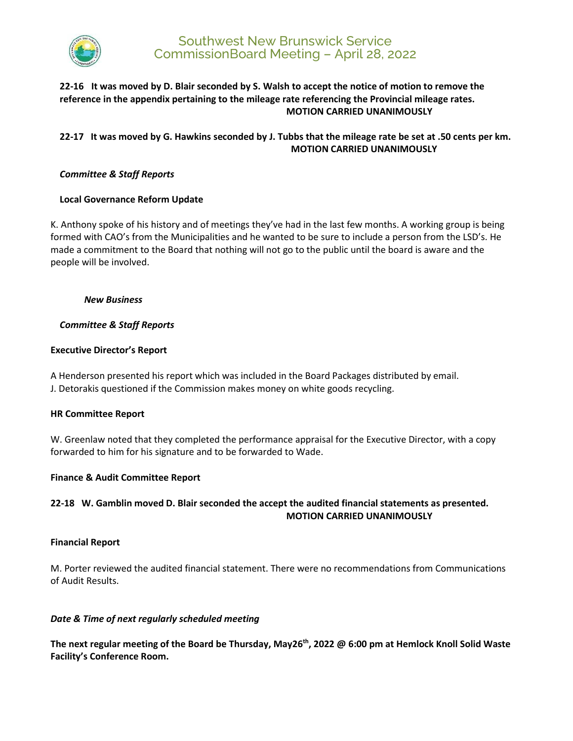

# Southwest New Brunswick Service CommissionBoard Meeting – April 28, 2022

## **22-16 It was moved by D. Blair seconded by S. Walsh to accept the notice of motion to remove the reference in the appendix pertaining to the mileage rate referencing the Provincial mileage rates. MOTION CARRIED UNANIMOUSLY**

# **22-17 It was moved by G. Hawkins seconded by J. Tubbs that the mileage rate be set at .50 cents per km. MOTION CARRIED UNANIMOUSLY**

## *Committee & Staff Reports*

## **Local Governance Reform Update**

K. Anthony spoke of his history and of meetings they've had in the last few months. A working group is being formed with CAO's from the Municipalities and he wanted to be sure to include a person from the LSD's. He made a commitment to the Board that nothing will not go to the public until the board is aware and the people will be involved.

### *New Business*

## *Committee & Staff Reports*

## **Executive Director's Report**

A Henderson presented his report which was included in the Board Packages distributed by email. J. Detorakis questioned if the Commission makes money on white goods recycling.

### **HR Committee Report**

W. Greenlaw noted that they completed the performance appraisal for the Executive Director, with a copy forwarded to him for his signature and to be forwarded to Wade.

### **Finance & Audit Committee Report**

# **22-18 W. Gamblin moved D. Blair seconded the accept the audited financial statements as presented. MOTION CARRIED UNANIMOUSLY**

### **Financial Report**

M. Porter reviewed the audited financial statement. There were no recommendations from Communications of Audit Results.

## *Date & Time of next regularly scheduled meeting*

**The next regular meeting of the Board be Thursday, May26th, 2022 @ 6:00 pm at Hemlock Knoll Solid Waste Facility's Conference Room.**